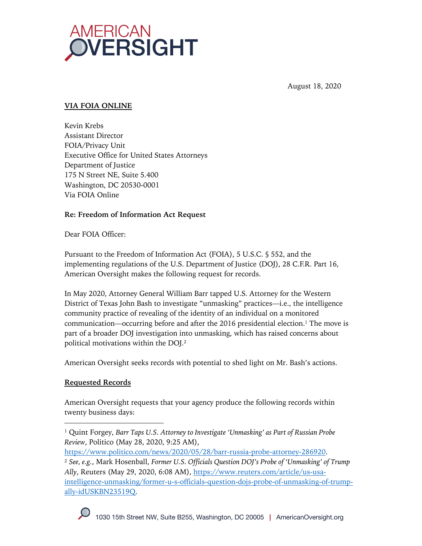

August 18, 2020

## **VIA FOIA ONLINE**

Kevin Krebs Assistant Director FOIA/Privacy Unit Executive Office for United States Attorneys Department of Justice 175 N Street NE, Suite 5.400 Washington, DC 20530-0001 Via FOIA Online

## **Re: Freedom of Information Act Request**

Dear FOIA Officer:

Pursuant to the Freedom of Information Act (FOIA), 5 U.S.C. § 552, and the implementing regulations of the U.S. Department of Justice (DOJ), 28 C.F.R. Part 16, American Oversight makes the following request for records.

In May 2020, Attorney General William Barr tapped U.S. Attorney for the Western District of Texas John Bash to investigate "unmasking" practices—i.e., the intelligence community practice of revealing of the identity of an individual on a monitored communication—occurring before and after the 2016 presidential election. <sup>1</sup> The move is part of a broader DOJ investigation into unmasking, which has raised concerns about political motivations within the DOJ.2

American Oversight seeks records with potential to shed light on Mr. Bash's actions.

## **Requested Records**

American Oversight requests that your agency produce the following records within twenty business days:

<sup>2</sup> *See, e.g.*, Mark Hosenball, *Former U.S. Officials Question DOJ's Probe of 'Unmasking' of Trump Ally*, Reuters (May 29, 2020, 6:08 AM), https://www.reuters.com/article/us-usaintelligence-unmasking/former-u-s-officials-question-dojs-probe-of-unmasking-of-trumpally-idUSKBN23519Q.



<sup>1</sup> Quint Forgey, *Barr Taps U.S. Attorney to Investigate 'Unmasking' as Part of Russian Probe Review*, Politico (May 28, 2020, 9:25 AM),

https://www.politico.com/news/2020/05/28/barr-russia-probe-attorney-286920.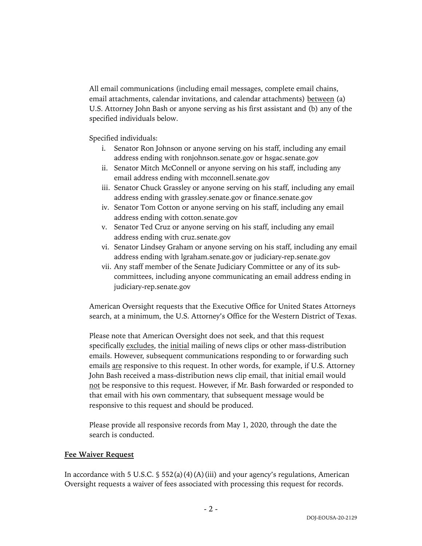All email communications (including email messages, complete email chains, email attachments, calendar invitations, and calendar attachments) between (a) U.S. Attorney John Bash or anyone serving as his first assistant and (b) any of the specified individuals below.

Specified individuals:

- i. Senator Ron Johnson or anyone serving on his staff, including any email address ending with ronjohnson.senate.gov or hsgac.senate.gov
- ii. Senator Mitch McConnell or anyone serving on his staff, including any email address ending with mcconnell.senate.gov
- iii. Senator Chuck Grassley or anyone serving on his staff, including any email address ending with grassley.senate.gov or finance.senate.gov
- iv. Senator Tom Cotton or anyone serving on his staff, including any email address ending with cotton.senate.gov
- v. Senator Ted Cruz or anyone serving on his staff, including any email address ending with cruz.senate.gov
- vi. Senator Lindsey Graham or anyone serving on his staff, including any email address ending with lgraham.senate.gov or judiciary-rep.senate.gov
- vii. Any staff member of the Senate Judiciary Committee or any of its subcommittees, including anyone communicating an email address ending in judiciary-rep.senate.gov

American Oversight requests that the Executive Office for United States Attorneys search, at a minimum, the U.S. Attorney's Office for the Western District of Texas.

Please note that American Oversight does not seek, and that this request specifically excludes, the initial mailing of news clips or other mass-distribution emails. However, subsequent communications responding to or forwarding such emails are responsive to this request. In other words, for example, if U.S. Attorney John Bash received a mass-distribution news clip email, that initial email would not be responsive to this request. However, if Mr. Bash forwarded or responded to that email with his own commentary, that subsequent message would be responsive to this request and should be produced.

Please provide all responsive records from May 1, 2020, through the date the search is conducted.

#### **Fee Waiver Request**

In accordance with 5 U.S.C.  $\frac{1}{5}$  552(a)(4)(A)(iii) and your agency's regulations, American Oversight requests a waiver of fees associated with processing this request for records.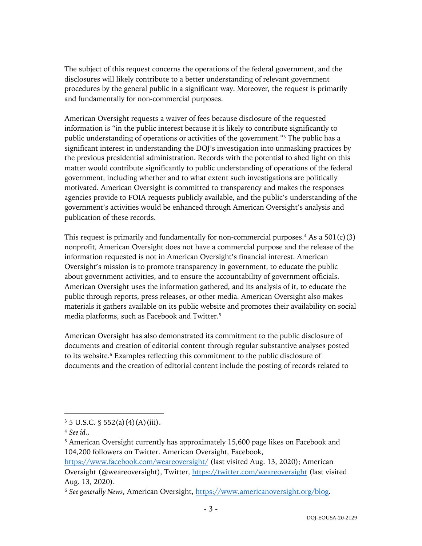The subject of this request concerns the operations of the federal government, and the disclosures will likely contribute to a better understanding of relevant government procedures by the general public in a significant way. Moreover, the request is primarily and fundamentally for non-commercial purposes.

American Oversight requests a waiver of fees because disclosure of the requested information is "in the public interest because it is likely to contribute significantly to public understanding of operations or activities of the government."3 The public has a significant interest in understanding the DOJ's investigation into unmasking practices by the previous presidential administration. Records with the potential to shed light on this matter would contribute significantly to public understanding of operations of the federal government, including whether and to what extent such investigations are politically motivated. American Oversight is committed to transparency and makes the responses agencies provide to FOIA requests publicly available, and the public's understanding of the government's activities would be enhanced through American Oversight's analysis and publication of these records.

This request is primarily and fundamentally for non-commercial purposes.<sup>4</sup> As a  $501(c)(3)$ nonprofit, American Oversight does not have a commercial purpose and the release of the information requested is not in American Oversight's financial interest. American Oversight's mission is to promote transparency in government, to educate the public about government activities, and to ensure the accountability of government officials. American Oversight uses the information gathered, and its analysis of it, to educate the public through reports, press releases, or other media. American Oversight also makes materials it gathers available on its public website and promotes their availability on social media platforms, such as Facebook and Twitter.5

American Oversight has also demonstrated its commitment to the public disclosure of documents and creation of editorial content through regular substantive analyses posted to its website.<sup>6</sup> Examples reflecting this commitment to the public disclosure of documents and the creation of editorial content include the posting of records related to

 $3 \frac{3}{5}$  U.S.C.  $\frac{6}{5}$  552(a)(4)(A)(iii).

<sup>4</sup> *See id.*.

<sup>5</sup> American Oversight currently has approximately 15,600 page likes on Facebook and 104,200 followers on Twitter. American Oversight, Facebook,

https://www.facebook.com/weareoversight/ (last visited Aug. 13, 2020); American Oversight (@weareoversight), Twitter, https://twitter.com/weareoversight (last visited Aug. 13, 2020).

<sup>6</sup> *See generally News*, American Oversight, https://www.americanoversight.org/blog.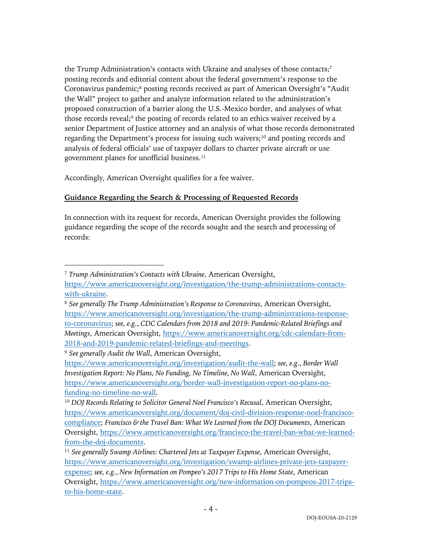the Trump Administration's contacts with Ukraine and analyses of those contacts;<sup>7</sup> posting records and editorial content about the federal government's response to the Coronavirus pandemic;<sup>8</sup> posting records received as part of American Oversight's "Audit" the Wall" project to gather and analyze information related to the administration's proposed construction of a barrier along the U.S.-Mexico border, and analyses of what those records reveal;<sup>9</sup> the posting of records related to an ethics waiver received by a senior Department of Justice attorney and an analysis of what those records demonstrated regarding the Department's process for issuing such waivers;<sup>10</sup> and posting records and analysis of federal officials' use of taxpayer dollars to charter private aircraft or use government planes for unofficial business. 11

Accordingly, American Oversight qualifies for a fee waiver.

# **Guidance Regarding the Search & Processing of Requested Records**

In connection with its request for records, American Oversight provides the following guidance regarding the scope of the records sought and the search and processing of records:

<sup>7</sup> *Trump Administration's Contacts with Ukraine*, American Oversight,

https://www.americanoversight.org/investigation/the-trump-administrations-contactswith-ukraine.

<sup>8</sup> *See generally The Trump Administration's Response to Coronavirus*, American Oversight, https://www.americanoversight.org/investigation/the-trump-administrations-responseto-coronavirus; *see, e.g.*, *CDC Calendars from 2018 and 2019: Pandemic-Related Briefings and Meetings*, American Oversight, https://www.americanoversight.org/cdc-calendars-from-2018-and-2019-pandemic-related-briefings-and-meetings.

<sup>9</sup> *See generally Audit the Wall*, American Oversight,

https://www.americanoversight.org/investigation/audit-the-wall; *see, e.g.*, *Border Wall Investigation Report: No Plans, No Funding, No Timeline, No Wall*, American Oversight, https://www.americanoversight.org/border-wall-investigation-report-no-plans-nofunding-no-timeline-no-wall.

<sup>10</sup> *DOJ Records Relating to Solicitor General Noel Francisco's Recusal*, American Oversight, https://www.americanoversight.org/document/doj-civil-division-response-noel-franciscocompliance; *Francisco & the Travel Ban: What We Learned from the DOJ Documents*, American Oversight, https://www.americanoversight.org/francisco-the-travel-ban-what-we-learnedfrom-the-doj-documents.

<sup>11</sup> *See generally Swamp Airlines: Chartered Jets at Taxpayer Expense*, American Oversight, https://www.americanoversight.org/investigation/swamp-airlines-private-jets-taxpayerexpense; *see, e.g.*, *New Information on Pompeo's 2017 Trips to His Home State*, American Oversight, https://www.americanoversight.org/new-information-on-pompeos-2017-tripsto-his-home-state.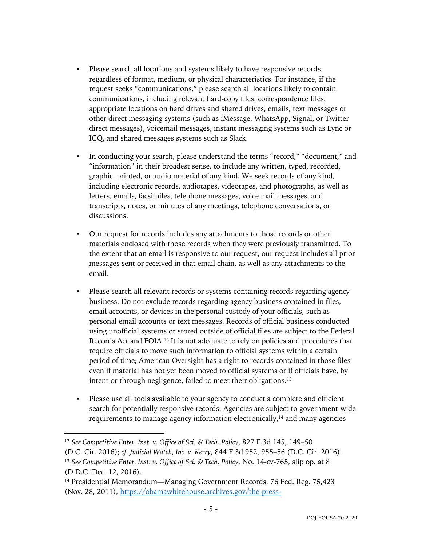- Please search all locations and systems likely to have responsive records, regardless of format, medium, or physical characteristics. For instance, if the request seeks "communications," please search all locations likely to contain communications, including relevant hard-copy files, correspondence files, appropriate locations on hard drives and shared drives, emails, text messages or other direct messaging systems (such as iMessage, WhatsApp, Signal, or Twitter direct messages), voicemail messages, instant messaging systems such as Lync or ICQ, and shared messages systems such as Slack.
- In conducting your search, please understand the terms "record," "document," and "information" in their broadest sense, to include any written, typed, recorded, graphic, printed, or audio material of any kind. We seek records of any kind, including electronic records, audiotapes, videotapes, and photographs, as well as letters, emails, facsimiles, telephone messages, voice mail messages, and transcripts, notes, or minutes of any meetings, telephone conversations, or discussions.
- Our request for records includes any attachments to those records or other materials enclosed with those records when they were previously transmitted. To the extent that an email is responsive to our request, our request includes all prior messages sent or received in that email chain, as well as any attachments to the email.
- Please search all relevant records or systems containing records regarding agency business. Do not exclude records regarding agency business contained in files, email accounts, or devices in the personal custody of your officials, such as personal email accounts or text messages. Records of official business conducted using unofficial systems or stored outside of official files are subject to the Federal Records Act and FOIA.12 It is not adequate to rely on policies and procedures that require officials to move such information to official systems within a certain period of time; American Oversight has a right to records contained in those files even if material has not yet been moved to official systems or if officials have, by intent or through negligence, failed to meet their obligations.<sup>13</sup>
- Please use all tools available to your agency to conduct a complete and efficient search for potentially responsive records. Agencies are subject to government-wide requirements to manage agency information electronically,<sup>14</sup> and many agencies

<sup>12</sup> *See Competitive Enter. Inst. v. Office of Sci. & Tech. Policy*, 827 F.3d 145, 149–50 (D.C. Cir. 2016); *cf. Judicial Watch, Inc. v. Kerry*, 844 F.3d 952, 955–56 (D.C. Cir. 2016).

<sup>13</sup> *See Competitive Enter. Inst. v. Office of Sci. & Tech. Policy*, No. 14-cv-765, slip op. at 8 (D.D.C. Dec. 12, 2016).

<sup>&</sup>lt;sup>14</sup> Presidential Memorandum—Managing Government Records, 76 Fed. Reg. 75,423 (Nov. 28, 2011), https://obamawhitehouse.archives.gov/the-press-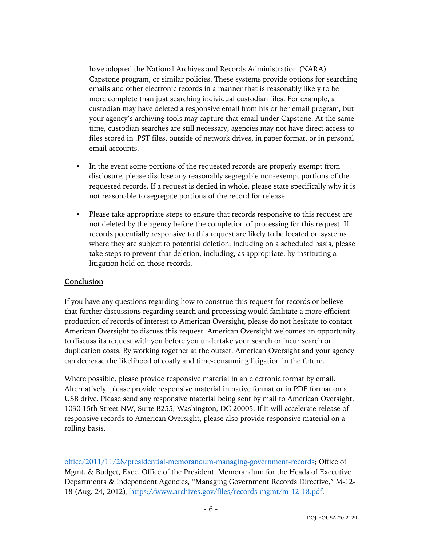have adopted the National Archives and Records Administration (NARA) Capstone program, or similar policies. These systems provide options for searching emails and other electronic records in a manner that is reasonably likely to be more complete than just searching individual custodian files. For example, a custodian may have deleted a responsive email from his or her email program, but your agency's archiving tools may capture that email under Capstone. At the same time, custodian searches are still necessary; agencies may not have direct access to files stored in .PST files, outside of network drives, in paper format, or in personal email accounts.

- In the event some portions of the requested records are properly exempt from disclosure, please disclose any reasonably segregable non-exempt portions of the requested records. If a request is denied in whole, please state specifically why it is not reasonable to segregate portions of the record for release.
- Please take appropriate steps to ensure that records responsive to this request are not deleted by the agency before the completion of processing for this request. If records potentially responsive to this request are likely to be located on systems where they are subject to potential deletion, including on a scheduled basis, please take steps to prevent that deletion, including, as appropriate, by instituting a litigation hold on those records.

#### **Conclusion**

If you have any questions regarding how to construe this request for records or believe that further discussions regarding search and processing would facilitate a more efficient production of records of interest to American Oversight, please do not hesitate to contact American Oversight to discuss this request. American Oversight welcomes an opportunity to discuss its request with you before you undertake your search or incur search or duplication costs. By working together at the outset, American Oversight and your agency can decrease the likelihood of costly and time-consuming litigation in the future.

Where possible, please provide responsive material in an electronic format by email. Alternatively, please provide responsive material in native format or in PDF format on a USB drive. Please send any responsive material being sent by mail to American Oversight, 1030 15th Street NW, Suite B255, Washington, DC 20005. If it will accelerate release of responsive records to American Oversight, please also provide responsive material on a rolling basis.

office/2011/11/28/presidential-memorandum-managing-government-records; Office of Mgmt. & Budget, Exec. Office of the President, Memorandum for the Heads of Executive Departments & Independent Agencies, "Managing Government Records Directive," M-12- 18 (Aug. 24, 2012), https://www.archives.gov/files/records-mgmt/m-12-18.pdf.